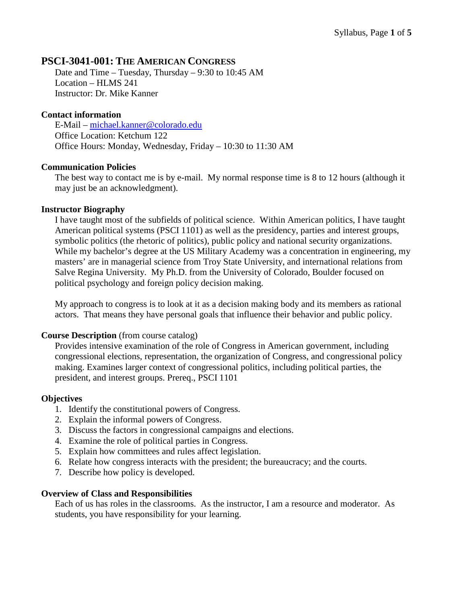# **PSCI-3041-001: THE AMERICAN CONGRESS**

Date and Time – Tuesday, Thursday – 9:30 to 10:45 AM Location – HLMS 241 Instructor: Dr. Mike Kanner

#### **Contact information**

E-Mail – [michael.kanner@colorado.edu](mailto:michael.kanner@colorado.edu) Office Location: Ketchum 122 Office Hours: Monday, Wednesday, Friday – 10:30 to 11:30 AM

#### **Communication Policies**

The best way to contact me is by e-mail. My normal response time is 8 to 12 hours (although it may just be an acknowledgment).

#### **Instructor Biography**

I have taught most of the subfields of political science. Within American politics, I have taught American political systems (PSCI 1101) as well as the presidency, parties and interest groups, symbolic politics (the rhetoric of politics), public policy and national security organizations. While my bachelor's degree at the US Military Academy was a concentration in engineering, my masters' are in managerial science from Troy State University, and international relations from Salve Regina University. My Ph.D. from the University of Colorado, Boulder focused on political psychology and foreign policy decision making.

My approach to congress is to look at it as a decision making body and its members as rational actors. That means they have personal goals that influence their behavior and public policy.

#### **Course Description** (from course catalog)

Provides intensive examination of the role of Congress in American government, including congressional elections, representation, the organization of Congress, and congressional policy making. Examines larger context of congressional politics, including political parties, the president, and interest groups. Prereq., PSCI 1101

## **Objectives**

- 1. Identify the constitutional powers of Congress.
- 2. Explain the informal powers of Congress.
- 3. Discuss the factors in congressional campaigns and elections.
- 4. Examine the role of political parties in Congress.
- 5. Explain how committees and rules affect legislation.
- 6. Relate how congress interacts with the president; the bureaucracy; and the courts.
- 7. Describe how policy is developed.

#### **Overview of Class and Responsibilities**

Each of us has roles in the classrooms. As the instructor, I am a resource and moderator. As students, you have responsibility for your learning.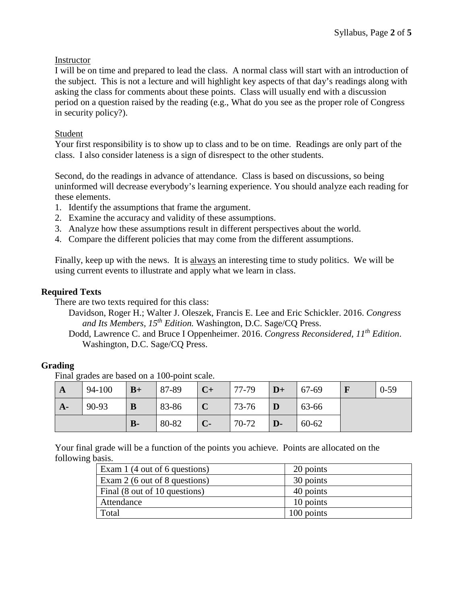## **Instructor**

I will be on time and prepared to lead the class. A normal class will start with an introduction of the subject. This is not a lecture and will highlight key aspects of that day's readings along with asking the class for comments about these points. Class will usually end with a discussion period on a question raised by the reading (e.g., What do you see as the proper role of Congress in security policy?).

# Student

Your first responsibility is to show up to class and to be on time. Readings are only part of the class. I also consider lateness is a sign of disrespect to the other students.

Second, do the readings in advance of attendance. Class is based on discussions, so being uninformed will decrease everybody's learning experience. You should analyze each reading for these elements.

- 1. Identify the assumptions that frame the argument.
- 2. Examine the accuracy and validity of these assumptions.
- 3. Analyze how these assumptions result in different perspectives about the world.
- 4. Compare the different policies that may come from the different assumptions.

Finally, keep up with the news. It is always an interesting time to study politics. We will be using current events to illustrate and apply what we learn in class.

# **Required Texts**

There are two texts required for this class:

Davidson, Roger H.; Walter J. Oleszek, Francis E. Lee and Eric Schickler. 2016. *Congress and Its Members, 15th Edition.* Washington, D.C. Sage/CQ Press.

Dodd, Lawrence C. and Bruce I Oppenheimer. 2016. *Congress Reconsidered, 11th Edition*. Washington, D.C. Sage/CQ Press.

# **Grading**

Final grades are based on a 100-point scale.

| $\mathbf{A}$ | 94-100 | $B+$  | 87-89 | $C+$        | 77-79 | $\mathbf{D}+$ | 67-69     | $0 - 59$ |
|--------------|--------|-------|-------|-------------|-------|---------------|-----------|----------|
| $A-$         | 90-93  | B     | 83-86 | $\mathbf C$ | 73-76 | D             | 63-66     |          |
|              |        | $B -$ | 80-82 | $C$ -       | 70-72 | $\mathbf{D}$  | $60 - 62$ |          |

Your final grade will be a function of the points you achieve. Points are allocated on the following basis.

| Exam 1 (4 out of 6 questions) | 20 points  |
|-------------------------------|------------|
| Exam 2 (6 out of 8 questions) | 30 points  |
| Final (8 out of 10 questions) | 40 points  |
| Attendance                    | 10 points  |
| Total                         | 100 points |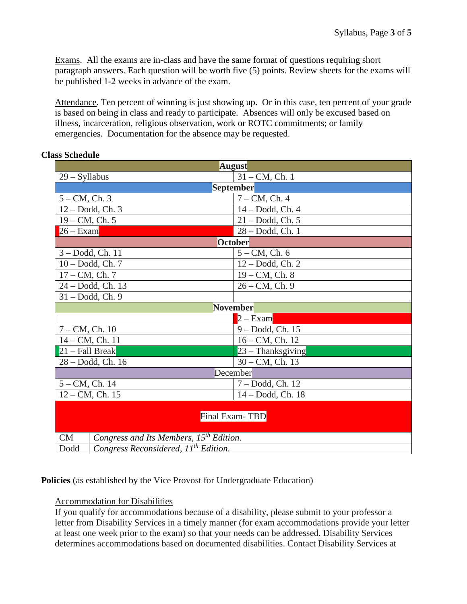Exams. All the exams are in-class and have the same format of questions requiring short paragraph answers. Each question will be worth five (5) points. Review sheets for the exams will be published 1-2 weeks in advance of the exam.

Attendance. Ten percent of winning is just showing up. Or in this case, ten percent of your grade is based on being in class and ready to participate. Absences will only be excused based on illness, incarceration, religious observation, work or ROTC commitments; or family emergencies. Documentation for the absence may be requested.

| <b>August</b>                                            |                                                     |  |  |  |  |  |
|----------------------------------------------------------|-----------------------------------------------------|--|--|--|--|--|
| $29 - Syllabus$                                          | $31 - CM$ , Ch. 1                                   |  |  |  |  |  |
| September                                                |                                                     |  |  |  |  |  |
| $5 - CM$ , Ch. 3                                         | $7 - CM$ , Ch. 4                                    |  |  |  |  |  |
| 12 - Dodd, Ch. 3                                         | 14 - Dodd, Ch. 4                                    |  |  |  |  |  |
| $19 - CM$ , Ch. 5                                        | $21 - Dodd$ , Ch. 5                                 |  |  |  |  |  |
| $26 - Exam$                                              | $28 - Dodd$ , Ch. 1                                 |  |  |  |  |  |
| <b>October</b>                                           |                                                     |  |  |  |  |  |
| 3-Dodd, Ch. 11                                           | $5 - CM$ , Ch. 6                                    |  |  |  |  |  |
| $10 - Dodd$ , Ch. 7                                      | $12 - Dodd$ , Ch. 2                                 |  |  |  |  |  |
| $17 - CM$ , Ch. 7                                        | $19 - CM$ , Ch. 8                                   |  |  |  |  |  |
| 24 - Dodd, Ch. 13                                        | $26 - CM$ , Ch. 9                                   |  |  |  |  |  |
| 31 - Dodd, Ch. 9                                         |                                                     |  |  |  |  |  |
| November                                                 |                                                     |  |  |  |  |  |
|                                                          | $2 - Exam$                                          |  |  |  |  |  |
| $7 - CM$ , Ch. 10                                        | 9 - Dodd, Ch. 15                                    |  |  |  |  |  |
| $14 - CM$ , Ch. 11                                       | $16 - CM$ , Ch. 12                                  |  |  |  |  |  |
| $21 - Fall Break$                                        | $23 - Thanksgiving$                                 |  |  |  |  |  |
| 28 - Dodd, Ch. 16                                        | $30 - CM$ , Ch. 13                                  |  |  |  |  |  |
| December                                                 |                                                     |  |  |  |  |  |
| $5 - CM$ , Ch. 14                                        | 7 – Dodd, Ch. 12                                    |  |  |  |  |  |
| $12 - CM$ , Ch. 15                                       | 14 - Dodd, Ch. 18                                   |  |  |  |  |  |
| Final Exam-TBD                                           |                                                     |  |  |  |  |  |
| CM                                                       | Congress and Its Members, 15 <sup>th</sup> Edition. |  |  |  |  |  |
| Congress Reconsidered, 11 <sup>th</sup> Edition.<br>Dodd |                                                     |  |  |  |  |  |

### **Class Schedule**

# **Policies** (as established by the Vice Provost for Undergraduate Education)

## Accommodation for Disabilities

If you qualify for accommodations because of a disability, please submit to your professor a letter from Disability Services in a timely manner (for exam accommodations provide your letter at least one week prior to the exam) so that your needs can be addressed. Disability Services determines accommodations based on documented disabilities. Contact Disability Services at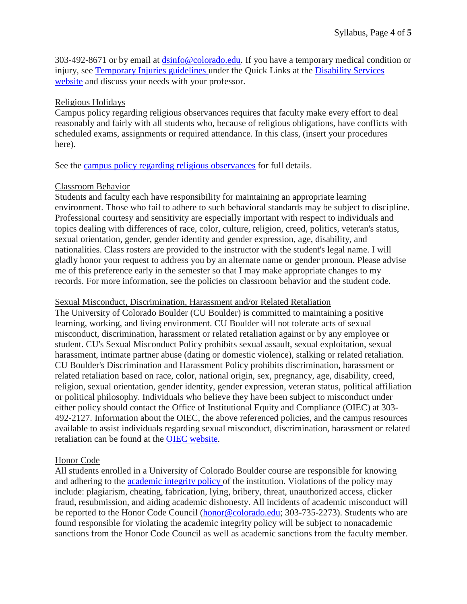303-492-8671 or by email at [dsinfo@colorado.edu.](mailto:dsinfo@colorado.edu?subject=Recommended%20Syllabus%20Statement) If you have a temporary medical condition or injury, see [Temporary Injuries guidelines](http://click.communications.cu.edu/?qs=c02f92182b03a08e51aee081b09346a979a0f93464d4cf61d77f7b5a7fa333ef2234d51ba98b3198) under the Quick Links at the [Disability Services](http://click.communications.cu.edu/?qs=c02f92182b03a08e62ce0b227450e4741e3411c0646e2364dfae57ff5d40cfe6f37d403da15df21d)  [website](http://click.communications.cu.edu/?qs=c02f92182b03a08e62ce0b227450e4741e3411c0646e2364dfae57ff5d40cfe6f37d403da15df21d) and discuss your needs with your professor.

### Religious Holidays

Campus policy regarding religious observances requires that faculty make every effort to deal reasonably and fairly with all students who, because of religious obligations, have conflicts with scheduled exams, assignments or required attendance. In this class, (insert your procedures here).

See the [campus policy regarding religious observances](http://click.communications.cu.edu/?qs=c02f92182b03a08e370c6117e6b3fb10322b20f0125a9c416e9bb3636f62d01d2768fc6eb68b9519) for full details.

## Classroom Behavior

Students and faculty each have responsibility for maintaining an appropriate learning environment. Those who fail to adhere to such behavioral standards may be subject to discipline. Professional courtesy and sensitivity are especially important with respect to individuals and topics dealing with differences of race, color, culture, religion, creed, politics, veteran's status, sexual orientation, gender, gender identity and gender expression, age, disability, and nationalities. Class rosters are provided to the instructor with the student's legal name. I will gladly honor your request to address you by an alternate name or gender pronoun. Please advise me of this preference early in the semester so that I may make appropriate changes to my records. For more information, see the policies on classroom behavior and the student code.

### Sexual Misconduct, Discrimination, Harassment and/or Related Retaliation

The University of Colorado Boulder (CU Boulder) is committed to maintaining a positive learning, working, and living environment. CU Boulder will not tolerate acts of sexual misconduct, discrimination, harassment or related retaliation against or by any employee or student. CU's Sexual Misconduct Policy prohibits sexual assault, sexual exploitation, sexual harassment, intimate partner abuse (dating or domestic violence), stalking or related retaliation. CU Boulder's Discrimination and Harassment Policy prohibits discrimination, harassment or related retaliation based on race, color, national origin, sex, pregnancy, age, disability, creed, religion, sexual orientation, gender identity, gender expression, veteran status, political affiliation or political philosophy. Individuals who believe they have been subject to misconduct under either policy should contact the Office of Institutional Equity and Compliance (OIEC) at 303- 492-2127. Information about the OIEC, the above referenced policies, and the campus resources available to assist individuals regarding sexual misconduct, discrimination, harassment or related retaliation can be found at the [OIEC website.](http://click.communications.cu.edu/?qs=c02f92182b03a08e1415127e03dbb174e78a5ccde5001ae94661b5059d58d253dcde9d01b8850198)

## Honor Code

All students enrolled in a University of Colorado Boulder course are responsible for knowing and adhering to the [academic integrity policy](http://click.communications.cu.edu/?qs=c02f92182b03a08e2c3cd83edc843700bed7c5987ca5d62492cfeb488c0ebd2c2f23e9b7cf14dd44) of the institution. Violations of the policy may include: plagiarism, cheating, fabrication, lying, bribery, threat, unauthorized access, clicker fraud, resubmission, and aiding academic dishonesty. All incidents of academic misconduct will be reported to the Honor Code Council [\(honor@colorado.edu;](mailto:honor@colorado.edu?subject=Incident%20of%20Academic%20Misconduct) 303-735-2273). Students who are found responsible for violating the academic integrity policy will be subject to nonacademic sanctions from the Honor Code Council as well as academic sanctions from the faculty member.